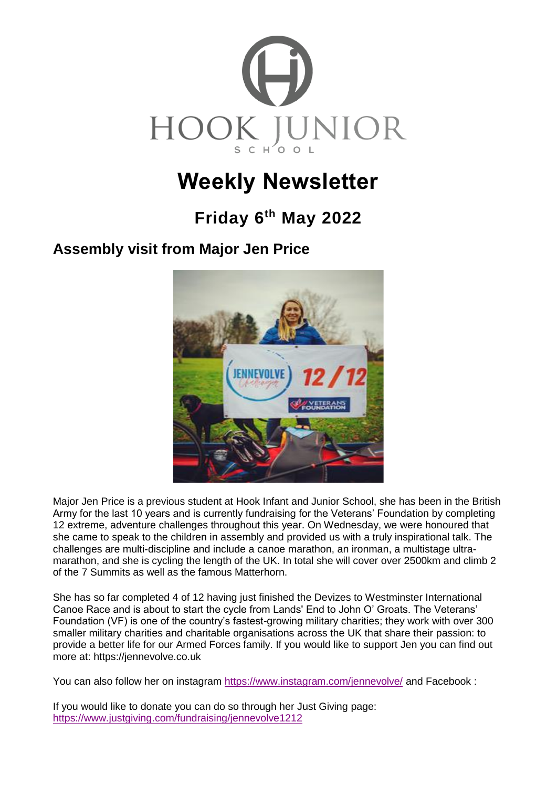

# **Weekly Newsletter**

## **Friday 6 th May 2022**

## **Assembly visit from Major Jen Price**



Major Jen Price is a previous student at Hook Infant and Junior School, she has been in the British Army for the last 10 years and is currently fundraising for the Veterans' Foundation by completing 12 extreme, adventure challenges throughout this year. On Wednesday, we were honoured that she came to speak to the children in assembly and provided us with a truly inspirational talk. The challenges are multi-discipline and include a canoe marathon, an ironman, a multistage ultramarathon, and she is cycling the length of the UK. In total she will cover over 2500km and climb 2 of the 7 Summits as well as the famous Matterhorn.

She has so far completed 4 of 12 having just finished the Devizes to Westminster International Canoe Race and is about to start the cycle from Lands' End to John O' Groats. The Veterans' Foundation (VF) is one of the country's fastest-growing military charities; they work with over 300 smaller military charities and charitable organisations across the UK that share their passion: to provide a better life for our Armed Forces family. If you would like to support Jen you can find out more at: https://jennevolve.co.uk

You can also follow her on instagram<https://www.instagram.com/jennevolve/> and Facebook :

If you would like to donate you can do so through her Just Giving page: <https://www.justgiving.com/fundraising/jennevolve1212>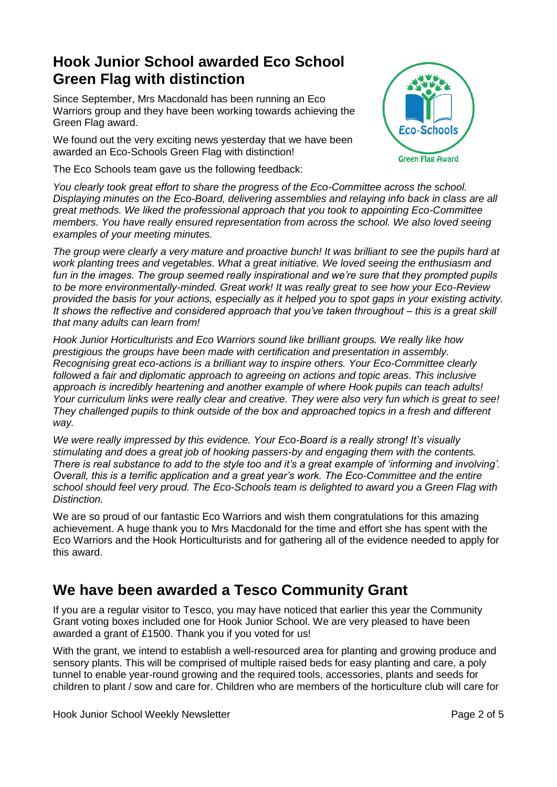#### **Hook Junior School awarded Eco School Green Flag with distinction**

Since September, Mrs Macdonald has been running an Eco Warriors group and they have been working towards achieving the Green Flag award.

We found out the very exciting news yesterday that we have been awarded an Eco-Schools Green Flag with distinction!

The Eco Schools team gave us the following feedback:



*You clearly took great effort to share the progress of the Eco-Committee across the school. Displaying minutes on the Eco-Board, delivering assemblies and relaying info back in class are all great methods. We liked the professional approach that you took to appointing Eco-Committee members. You have really ensured representation from across the school. We also loved seeing examples of your meeting minutes.* 

*The group were clearly a very mature and proactive bunch! It was brilliant to see the pupils hard at work planting trees and vegetables. What a great initiative. We loved seeing the enthusiasm and fun in the images. The group seemed really inspirational and we're sure that they prompted pupils to be more environmentally-minded. Great work! It was really great to see how your Eco-Review provided the basis for your actions, especially as it helped you to spot gaps in your existing activity. It shows the reflective and considered approach that you've taken throughout – this is a great skill that many adults can learn from!* 

*Hook Junior Horticulturists and Eco Warriors sound like brilliant groups. We really like how prestigious the groups have been made with certification and presentation in assembly. Recognising great eco-actions is a brilliant way to inspire others. Your Eco-Committee clearly followed a fair and diplomatic approach to agreeing on actions and topic areas. This inclusive approach is incredibly heartening and another example of where Hook pupils can teach adults! Your curriculum links were really clear and creative. They were also very fun which is great to see! They challenged pupils to think outside of the box and approached topics in a fresh and different way.* 

*We were really impressed by this evidence. Your Eco-Board is a really strong! It's visually stimulating and does a great job of hooking passers-by and engaging them with the contents. There is real substance to add to the style too and it's a great example of 'informing and involving'. Overall, this is a terrific application and a great year's work. The Eco-Committee and the entire school should feel very proud. The Eco-Schools team is delighted to award you a Green Flag with Distinction.*

We are so proud of our fantastic Eco Warriors and wish them congratulations for this amazing achievement. A huge thank you to Mrs Macdonald for the time and effort she has spent with the Eco Warriors and the Hook Horticulturists and for gathering all of the evidence needed to apply for this award.

## **We have been awarded a Tesco Community Grant**

If you are a regular visitor to Tesco, you may have noticed that earlier this year the Community Grant voting boxes included one for Hook Junior School. We are very pleased to have been awarded a grant of £1500. Thank you if you voted for us!

With the grant, we intend to establish a well-resourced area for planting and growing produce and sensory plants. This will be comprised of multiple raised beds for easy planting and care, a poly tunnel to enable year-round growing and the required tools, accessories, plants and seeds for children to plant / sow and care for. Children who are members of the horticulture club will care for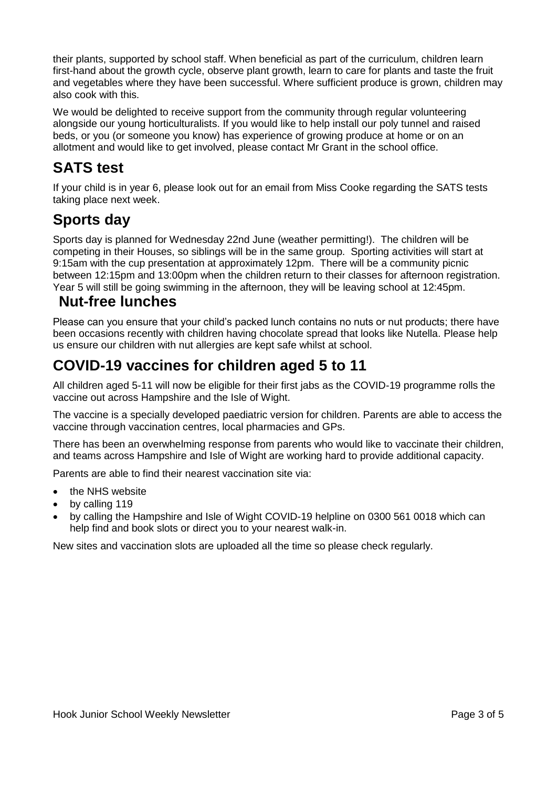their plants, supported by school staff. When beneficial as part of the curriculum, children learn first-hand about the growth cycle, observe plant growth, learn to care for plants and taste the fruit and vegetables where they have been successful. Where sufficient produce is grown, children may also cook with this.

We would be delighted to receive support from the community through regular volunteering alongside our young horticulturalists. If you would like to help install our poly tunnel and raised beds, or you (or someone you know) has experience of growing produce at home or on an allotment and would like to get involved, please contact Mr Grant in the school office.

## **SATS test**

If your child is in year 6, please look out for an email from Miss Cooke regarding the SATS tests taking place next week.

#### **Sports day**

Sports day is planned for Wednesday 22nd June (weather permitting!). The children will be competing in their Houses, so siblings will be in the same group. Sporting activities will start at 9:15am with the cup presentation at approximately 12pm. There will be a community picnic between 12:15pm and 13:00pm when the children return to their classes for afternoon registration. Year 5 will still be going swimming in the afternoon, they will be leaving school at 12:45pm.

#### **Nut-free lunches**

Please can you ensure that your child's packed lunch contains no nuts or nut products; there have been occasions recently with children having chocolate spread that looks like Nutella. Please help us ensure our children with nut allergies are kept safe whilst at school.

## **COVID-19 vaccines for children aged 5 to 11**

All children aged 5-11 will now be eligible for their first jabs as the COVID-19 programme rolls the vaccine out across Hampshire and the Isle of Wight.

The vaccine is a specially developed paediatric version for children. Parents are able to access the vaccine through vaccination centres, local pharmacies and GPs.

There has been an overwhelming response from parents who would like to vaccinate their children, and teams across Hampshire and Isle of Wight are working hard to provide additional capacity.

Parents are able to find their nearest vaccination site via:

- the [NHS website](https://www.nhs.uk/conditions/coronavirus-covid-19/coronavirus-vaccination/find-a-walk-in-coronavirus-covid-19-vaccination-site/)
- by calling 119
- by calling the Hampshire and Isle of Wight COVID-19 helpline on 0300 561 0018 which can help find and book slots or direct you to your nearest walk-in.

New sites and vaccination slots are uploaded all the time so please check regularly.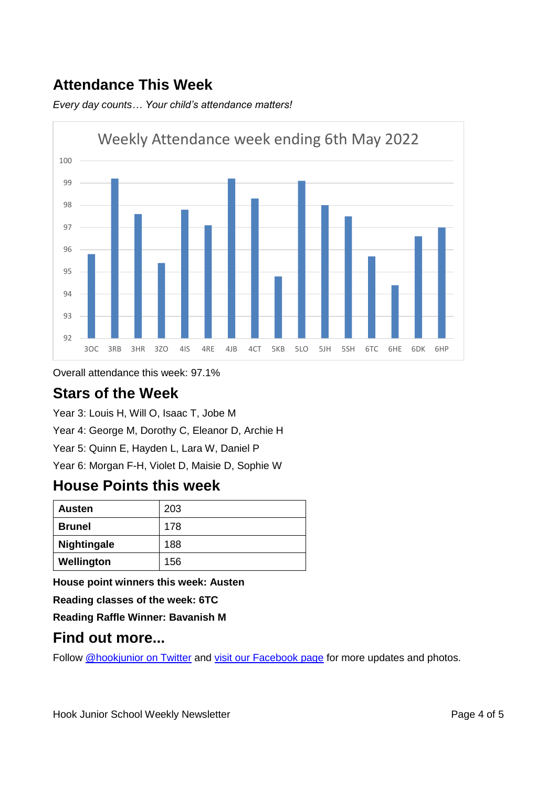## **Attendance This Week**

*Every day counts… Your child's attendance matters!*



Overall attendance this week: 97.1%

#### **Stars of the Week**

Year 3: Louis H, Will O, Isaac T, Jobe M Year 4: George M, Dorothy C, Eleanor D, Archie H Year 5: Quinn E, Hayden L, Lara W, Daniel P Year 6: Morgan F-H, Violet D, Maisie D, Sophie W

#### **House Points this week**

| <b>Austen</b>      | 203 |
|--------------------|-----|
| <b>Brunel</b>      | 178 |
| <b>Nightingale</b> | 188 |
| Wellington         | 156 |

**House point winners this week: Austen**

**Reading classes of the week: 6TC**

**Reading Raffle Winner: Bavanish M**

#### **Find out more...**

Follow [@hookjunior on Twitter](https://twitter.com/hookjunior) and [visit our Facebook page](https://en-gb.facebook.com/hookjuniorschool/) for more updates and photos.